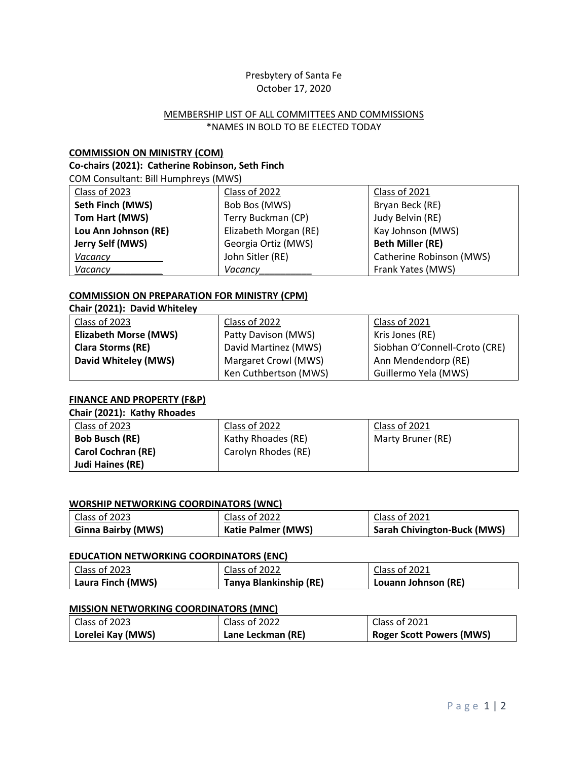## Presbytery of Santa Fe October 17, 2020

## MEMBERSHIP LIST OF ALL COMMITTEES AND COMMISSIONS \*NAMES IN BOLD TO BE ELECTED TODAY

## **COMMISSION ON MINISTRY (COM)**

## **Co-chairs (2021): Catherine Robinson, Seth Finch**

COM Consultant: Bill Humphreys (MWS)

| Class of 2023        | Class of 2022         | Class of 2021            |
|----------------------|-----------------------|--------------------------|
| Seth Finch (MWS)     | Bob Bos (MWS)         | Bryan Beck (RE)          |
| Tom Hart (MWS)       | Terry Buckman (CP)    | Judy Belvin (RE)         |
| Lou Ann Johnson (RE) | Elizabeth Morgan (RE) | Kay Johnson (MWS)        |
| Jerry Self (MWS)     | Georgia Ortiz (MWS)   | <b>Beth Miller (RE)</b>  |
| Vacancy              | John Sitler (RE)      | Catherine Robinson (MWS) |
| Vacancy              | Vacancy               | Frank Yates (MWS)        |

## **COMMISSION ON PREPARATION FOR MINISTRY (CPM)**

| Chair (2021): David Whiteley |                       |                               |
|------------------------------|-----------------------|-------------------------------|
| Class of 2023                | Class of 2022         | Class of 2021                 |
| <b>Elizabeth Morse (MWS)</b> | Patty Davison (MWS)   | Kris Jones (RE)               |
| <b>Clara Storms (RE)</b>     | David Martinez (MWS)  | Siobhan O'Connell-Croto (CRE) |
| David Whiteley (MWS)         | Margaret Crowl (MWS)  | Ann Mendendorp (RE)           |
|                              | Ken Cuthbertson (MWS) | Guillermo Yela (MWS)          |

## **FINANCE AND PROPERTY (F&P)**

# **Chair (2021): Kathy Rhoades**

| Class of 2023             | Class of 2022       | Class of 2021     |
|---------------------------|---------------------|-------------------|
| <b>Bob Busch (RE)</b>     | Kathy Rhoades (RE)  | Marty Bruner (RE) |
| <b>Carol Cochran (RE)</b> | Carolyn Rhodes (RE) |                   |
| Judi Haines (RE)          |                     |                   |

#### **WORSHIP NETWORKING COORDINATORS (WNC)**

| $\mid$ Class of 2023 | Class of 2022             | Class of 2021               |
|----------------------|---------------------------|-----------------------------|
| Ginna Bairby (MWS)   | <b>Katie Palmer (MWS)</b> | Sarah Chivington-Buck (MWS) |

#### **EDUCATION NETWORKING COORDINATORS (ENC)**

| Class of 2023     | Class of 2022          | Class of 2021       |
|-------------------|------------------------|---------------------|
| Laura Finch (MWS) | Tanya Blankinship (RE) | Louann Johnson (RE) |

#### **MISSION NETWORKING COORDINATORS (MNC)**

| Class of 2023     | Class of 2022     | Class of 2021                   |
|-------------------|-------------------|---------------------------------|
| Lorelei Kay (MWS) | Lane Leckman (RE) | <b>Roger Scott Powers (MWS)</b> |